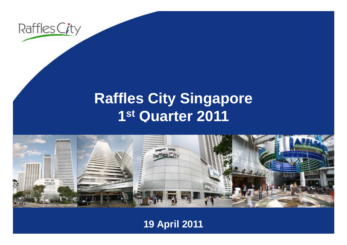

### **R ffl Cit Si affles City Singapore 1st Quarter 2011**



**19 April 2011**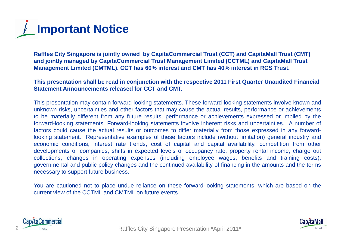

**Raffles City Singapore is jointly owned by CapitaCommercial Trust (CCT) and CapitaMall Trust (CMT) and jointly managed by CapitaCommercial Trust Management Limited (CCTML) and CapitaMall Trust**  Management Limited (CMTML). CCT has 60% interest and CMT has 40% interest in RCS Trust.

#### **This presentation shall be read in conjunction with the respective 2011 First Quarter Unaudited Financial Statement Announcements released for CCT and CMT.**

This presentation may contain forward-looking statements. These forward-looking statements involve known and unknown risks, uncertainties and other factors that may cause the actual results, performance or achievements to be materially different from any future results, performance or achievements expressed or implied by the forward-looking statements. Forward-looking statements involve inherent risks and uncertainties. A number of factors could cause the actual results or outcomes to differ materially from those expressed in any forwardlooking statement. Representative examples of these factors include (without limitation) general industry and economic conditions, interest rate trends, cost of capital and capital availability, competition from other developments or companies, shifts in expected levels of occupancy rate, property rental income, charge out collections, changes in operating expenses (including employee wages, benefits and training costs), governmental and public policy changes and the continued availability of financing in the amounts and the terms necessary to support future business.

You are cautioned not to place undue reliance on these forward-looking statements, which are based on the current view of the CCTML and CMTML on future events.



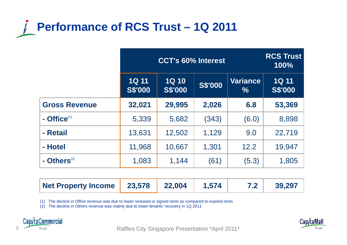

|                      |                                | <b>RCS Trust</b><br>100%       |                |                         |                                |
|----------------------|--------------------------------|--------------------------------|----------------|-------------------------|--------------------------------|
|                      | <b>1Q 11</b><br><b>S\$'000</b> | <b>1Q 10</b><br><b>S\$'000</b> | <b>S\$'000</b> | <b>Variance</b><br>$\%$ | <b>1Q 11</b><br><b>S\$'000</b> |
| <b>Gross Revenue</b> | 32,021                         | 29,995                         | 2,026          | 6.8                     | 53,369                         |
| $-$ Office $(1)$     | 5,339                          | 5,682                          | (343)          | (6.0)                   | 8,898                          |
| - Retail             | 13,631                         | 12,502                         | 1,129          | 9.0                     | 22,719                         |
| - Hotel              | 11,968                         | 10,667                         | 1,301          | 12.2                    | 19,947                         |
| - Others $(2)$       | 1,083                          | 1,144                          | (61)           | (5.3)                   | 1,805                          |

| Net Property Income   23,578   22,004 |  |  | 1,574 | 7.2 | 39,297 |
|---------------------------------------|--|--|-------|-----|--------|
|---------------------------------------|--|--|-------|-----|--------|

(1) The decline in Office revenue was due to lower renewed or signed rents as compared to expired rents

(2) The decline in Others revenue was mainly due to lower tenants' recovery in 1Q 2011



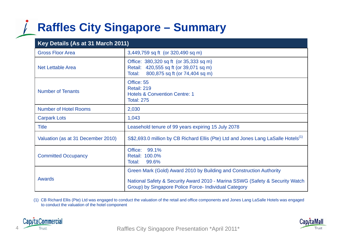### **Raffles City Singapore – Summary**

| Key Details (As at 31 March 2011)  |                                                                                                                                       |  |  |  |  |
|------------------------------------|---------------------------------------------------------------------------------------------------------------------------------------|--|--|--|--|
| <b>Gross Floor Area</b>            | 3,449,759 sq ft (or 320,490 sq m)                                                                                                     |  |  |  |  |
| <b>Net Lettable Area</b>           | Office: 380,320 sq ft (or 35,333 sq m)<br>Retail: 420,555 sq ft (or 39,071 sq m)<br>800,875 sq ft (or 74,404 sq m)<br>Total:          |  |  |  |  |
| <b>Number of Tenants</b>           | Office: 55<br>Retail: 219<br><b>Hotels &amp; Convention Centre: 1</b><br><b>Total: 275</b>                                            |  |  |  |  |
| <b>Number of Hotel Rooms</b>       | 2,030                                                                                                                                 |  |  |  |  |
| <b>Carpark Lots</b>                | 1,043                                                                                                                                 |  |  |  |  |
| <b>Title</b>                       | Leasehold tenure of 99 years expiring 15 July 2078                                                                                    |  |  |  |  |
| Valuation (as at 31 December 2010) | S\$2,693.0 million by CB Richard Ellis (Pte) Ltd and Jones Lang LaSalle Hotels <sup>(1)</sup>                                         |  |  |  |  |
| <b>Committed Occupancy</b>         | 99.1%<br>Office:<br>Retail: 100.0%<br>Total:<br>99.6%                                                                                 |  |  |  |  |
|                                    | Green Mark (Gold) Award 2010 by Building and Construction Authority                                                                   |  |  |  |  |
| <b>Awards</b>                      | National Safety & Security Award 2010 - Marina SSWG (Safety & Security Watch<br>Group) by Singapore Police Force- Individual Category |  |  |  |  |

(1) CB Richard Ellis (Pte) Ltd was engaged to conduct the valuation of the retail and office components and Jones Lang LaSalle Hotels was engaged to conduct the valuation of the hotel component

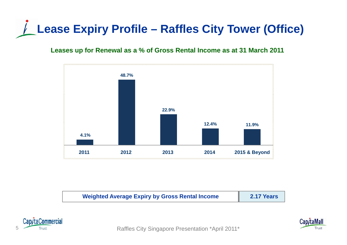## **Lease Expiry Profile – Raffles City Tower (Office)**

#### **Leases up for Renewal as a % of Gross Rental Income as at 31 March 2011**



**Weighted Average Expiry by Gross Rental Income 2.17 Years**





Firust Trust **Raffles City Singapore Presentation \*April 2011\***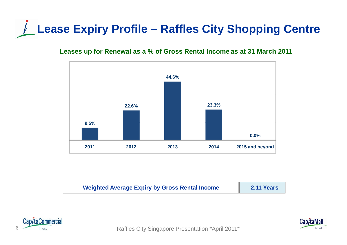## **Lease Expiry Profile – Raffles City Shopping Centre**

#### **Leases up for Renewal as a % of Gross Rental Income as at 31 March 2011**



| <b>Weighted Average Expiry by Gross Rental Income</b> | 2.11 Years |
|-------------------------------------------------------|------------|
|-------------------------------------------------------|------------|





6 Trust Trust **Raffles City Singapore Presentation \*April 2011\***